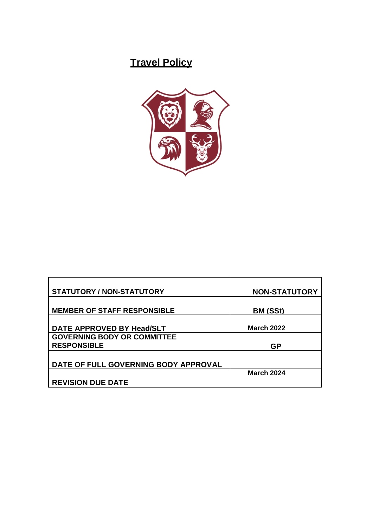# **Travel Policy**



| <b>STATUTORY / NON-STATUTORY</b>                         | <b>NON-STATUTORY</b> |
|----------------------------------------------------------|----------------------|
| <b>MEMBER OF STAFF RESPONSIBLE</b>                       | BM (SSt)             |
| DATE APPROVED BY Head/SLT                                | <b>March 2022</b>    |
| <b>GOVERNING BODY OR COMMITTEE</b><br><b>RESPONSIBLE</b> | GP                   |
| DATE OF FULL GOVERNING BODY APPROVAL                     |                      |
| <b>REVISION DUE DATE</b>                                 | <b>March 2024</b>    |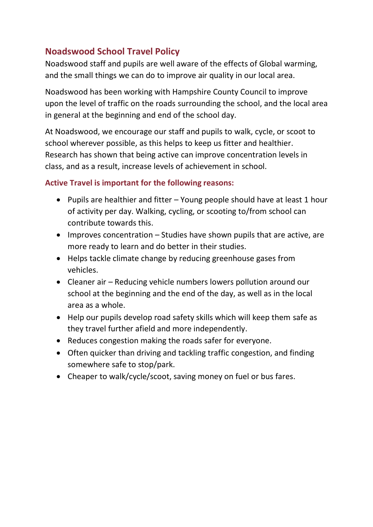## **Noadswood School Travel Policy**

Noadswood staff and pupils are well aware of the effects of Global warming, and the small things we can do to improve air quality in our local area.

Noadswood has been working with Hampshire County Council to improve upon the level of traffic on the roads surrounding the school, and the local area in general at the beginning and end of the school day.

At Noadswood, we encourage our staff and pupils to walk, cycle, or scoot to school wherever possible, as this helps to keep us fitter and healthier. Research has shown that being active can improve concentration levels in class, and as a result, increase levels of achievement in school.

#### **Active Travel is important for the following reasons:**

- Pupils are healthier and fitter Young people should have at least 1 hour of activity per day. Walking, cycling, or scooting to/from school can contribute towards this.
- Improves concentration Studies have shown pupils that are active, are more ready to learn and do better in their studies.
- Helps tackle climate change by reducing greenhouse gases from vehicles.
- Cleaner air Reducing vehicle numbers lowers pollution around our school at the beginning and the end of the day, as well as in the local area as a whole.
- Help our pupils develop road safety skills which will keep them safe as they travel further afield and more independently.
- Reduces congestion making the roads safer for everyone.
- Often quicker than driving and tackling traffic congestion, and finding somewhere safe to stop/park.
- Cheaper to walk/cycle/scoot, saving money on fuel or bus fares.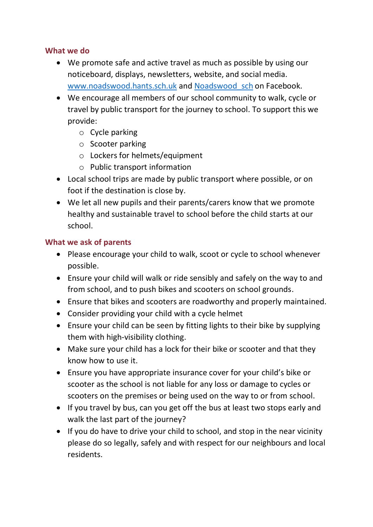#### **What we do**

- We promote safe and active travel as much as possible by using our noticeboard, displays, newsletters, website, and social media. [www.noadswood.hants.sch.uk](http://www.noadswood.hants.sch.uk/) and Noadswood sch on Facebook.
- We encourage all members of our school community to walk, cycle or travel by public transport for the journey to school. To support this we provide:
	- o Cycle parking
	- o Scooter parking
	- o Lockers for helmets/equipment
	- o Public transport information
- Local school trips are made by public transport where possible, or on foot if the destination is close by.
- We let all new pupils and their parents/carers know that we promote healthy and sustainable travel to school before the child starts at our school.

#### **What we ask of parents**

- Please encourage your child to walk, scoot or cycle to school whenever possible.
- Ensure your child will walk or ride sensibly and safely on the way to and from school, and to push bikes and scooters on school grounds.
- Ensure that bikes and scooters are roadworthy and properly maintained.
- Consider providing your child with a cycle helmet
- Ensure your child can be seen by fitting lights to their bike by supplying them with high-visibility clothing.
- Make sure your child has a lock for their bike or scooter and that they know how to use it.
- Ensure you have appropriate insurance cover for your child's bike or scooter as the school is not liable for any loss or damage to cycles or scooters on the premises or being used on the way to or from school.
- If you travel by bus, can you get off the bus at least two stops early and walk the last part of the journey?
- If you do have to drive your child to school, and stop in the near vicinity please do so legally, safely and with respect for our neighbours and local residents.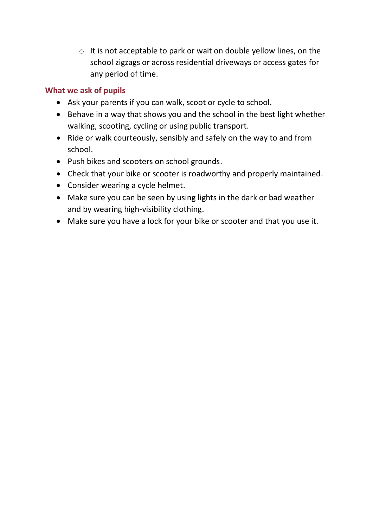o It is not acceptable to park or wait on double yellow lines, on the school zigzags or across residential driveways or access gates for any period of time.

#### **What we ask of pupils**

- Ask your parents if you can walk, scoot or cycle to school.
- Behave in a way that shows you and the school in the best light whether walking, scooting, cycling or using public transport.
- Ride or walk courteously, sensibly and safely on the way to and from school.
- Push bikes and scooters on school grounds.
- Check that your bike or scooter is roadworthy and properly maintained.
- Consider wearing a cycle helmet.
- Make sure you can be seen by using lights in the dark or bad weather and by wearing high-visibility clothing.
- Make sure you have a lock for your bike or scooter and that you use it.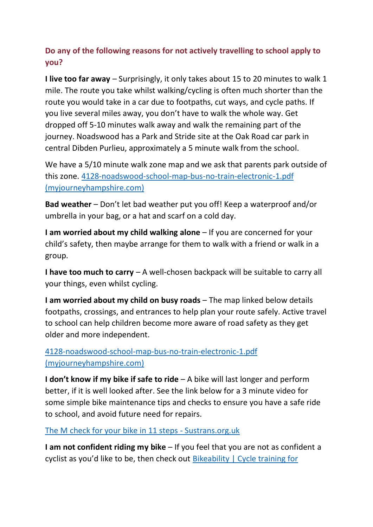### **Do any of the following reasons for not actively travelling to school apply to you?**

**I live too far away** – Surprisingly, it only takes about 15 to 20 minutes to walk 1 mile. The route you take whilst walking/cycling is often much shorter than the route you would take in a car due to footpaths, cut ways, and cycle paths. If you live several miles away, you don't have to walk the whole way. Get dropped off 5-10 minutes walk away and walk the remaining part of the journey. Noadswood has a Park and Stride site at the Oak Road car park in central Dibden Purlieu, approximately a 5 minute walk from the school.

We have a 5/10 minute walk zone map and we ask that parents park outside of this zone. [4128-noadswood-school-map-bus-no-train-electronic-1.pdf](https://myjourneyhampshire.com/media/2533/4128-noadswood-school-map-bus-no-train-electronic-1.pdf)  [\(myjourneyhampshire.com\)](https://myjourneyhampshire.com/media/2533/4128-noadswood-school-map-bus-no-train-electronic-1.pdf)

**Bad weather** – Don't let bad weather put you off! Keep a waterproof and/or umbrella in your bag, or a hat and scarf on a cold day.

**I am worried about my child walking alone** – If you are concerned for your child's safety, then maybe arrange for them to walk with a friend or walk in a group.

**I have too much to carry** – A well-chosen backpack will be suitable to carry all your things, even whilst cycling.

**I am worried about my child on busy roads** – The map linked below details footpaths, crossings, and entrances to help plan your route safely. Active travel to school can help children become more aware of road safety as they get older and more independent.

[4128-noadswood-school-map-bus-no-train-electronic-1.pdf](https://myjourneyhampshire.com/media/2533/4128-noadswood-school-map-bus-no-train-electronic-1.pdf)  [\(myjourneyhampshire.com\)](https://myjourneyhampshire.com/media/2533/4128-noadswood-school-map-bus-no-train-electronic-1.pdf)

**I don't know if my bike if safe to ride** – A bike will last longer and perform better, if it is well looked after. See the link below for a 3 minute video for some simple bike maintenance tips and checks to ensure you have a safe ride to school, and avoid future need for repairs.

[The M check for your bike in 11 steps -](https://www.sustrans.org.uk/our-blog/get-active/2019/everyday-walking-and-cycling/the-m-check-for-your-bike-in-11-steps/) Sustrans.org.uk

**I am not confident riding my bike** – If you feel that you are not as confident a cyclist as you'd like to be, then check out [Bikeability | Cycle training for](https://www.bikeability.org.uk/)